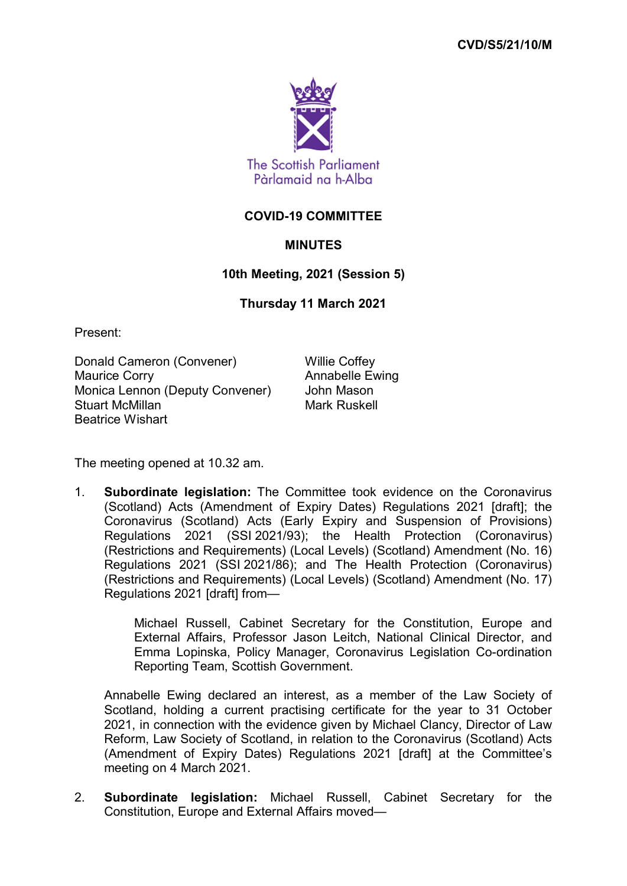

## **COVID-19 COMMITTEE**

## **MINUTES**

## **10th Meeting, 2021 (Session 5)**

## **Thursday 11 March 2021**

Present:

Donald Cameron (Convener) Willie Coffey Maurice Corry **Annabelle Ewing** Monica Lennon (Deputy Convener) John Mason Stuart McMillan Mark Ruskell Beatrice Wishart

The meeting opened at 10.32 am.

1. **Subordinate legislation:** The Committee took evidence on the Coronavirus (Scotland) Acts (Amendment of Expiry Dates) Regulations 2021 [draft]; the Coronavirus (Scotland) Acts (Early Expiry and Suspension of Provisions) Regulations 2021 (SSI 2021/93); the Health Protection (Coronavirus) (Restrictions and Requirements) (Local Levels) (Scotland) Amendment (No. 16) Regulations 2021 (SSI 2021/86); and The Health Protection (Coronavirus) (Restrictions and Requirements) (Local Levels) (Scotland) Amendment (No. 17) Regulations 2021 [draft] from—

> Michael Russell, Cabinet Secretary for the Constitution, Europe and External Affairs, Professor Jason Leitch, National Clinical Director, and Emma Lopinska, Policy Manager, Coronavirus Legislation Co-ordination Reporting Team, Scottish Government.

Annabelle Ewing declared an interest, as a member of the Law Society of Scotland, holding a current practising certificate for the year to 31 October 2021, in connection with the evidence given by Michael Clancy, Director of Law Reform, Law Society of Scotland, in relation to the Coronavirus (Scotland) Acts (Amendment of Expiry Dates) Regulations 2021 [draft] at the Committee's meeting on 4 March 2021.

2. **Subordinate legislation:** Michael Russell, Cabinet Secretary for the Constitution, Europe and External Affairs moved